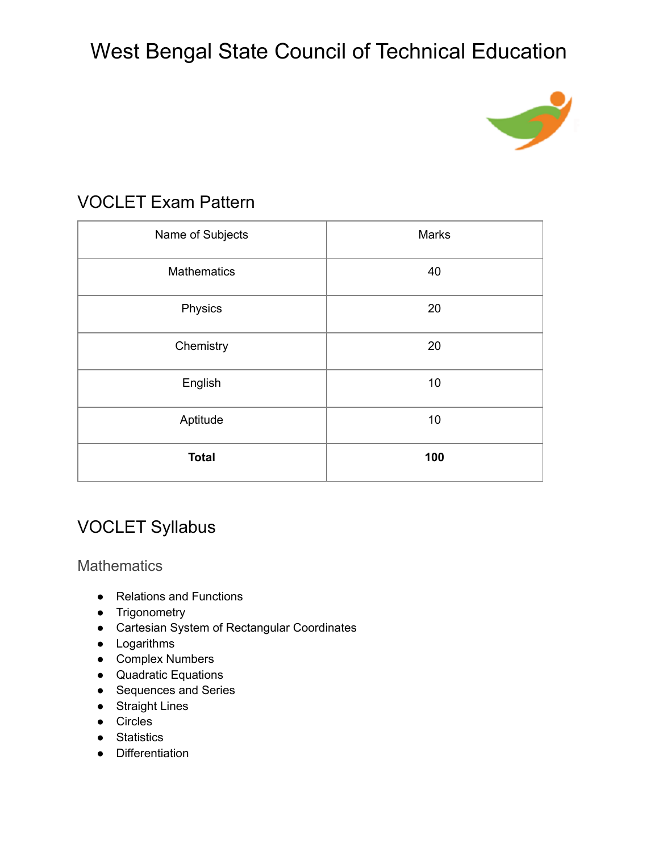

#### VOCLET Exam Pattern

| Name of Subjects   | Marks |
|--------------------|-------|
| <b>Mathematics</b> | 40    |
| Physics            | 20    |
| Chemistry          | 20    |
| English            | 10    |
| Aptitude           | 10    |
| <b>Total</b>       | 100   |

### VOCLET Syllabus

**Mathematics** 

- Relations and Functions
- Trigonometry
- Cartesian System of Rectangular Coordinates
- Logarithms
- Complex Numbers
- Quadratic Equations
- Sequences and Series
- Straight Lines
- Circles
- Statistics
- Differentiation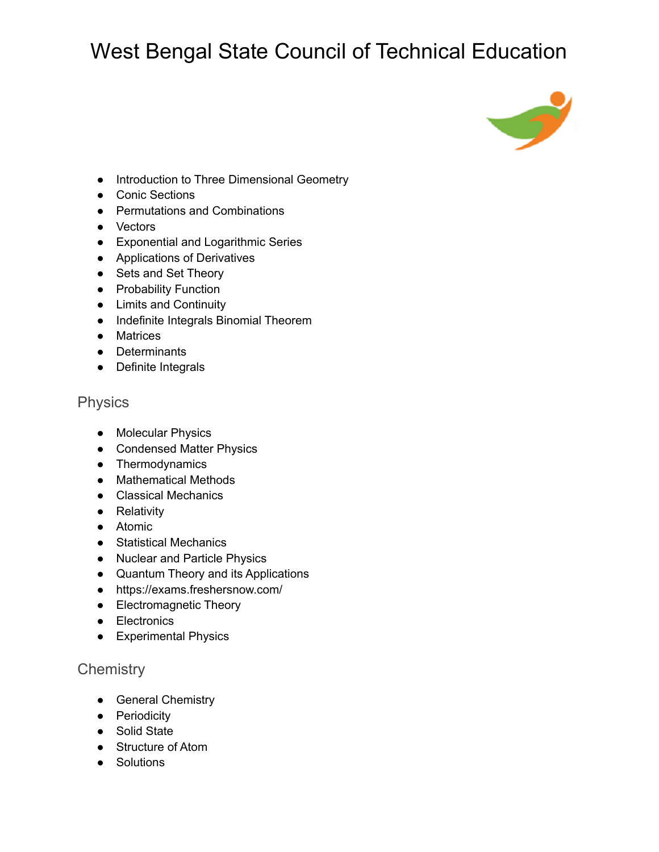

- Introduction to Three Dimensional Geometry
- Conic Sections
- Permutations and Combinations
- Vectors
- Exponential and Logarithmic Series
- Applications of Derivatives
- Sets and Set Theory
- Probability Function
- Limits and Continuity
- Indefinite Integrals Binomial Theorem
- Matrices
- Determinants
- Definite Integrals

#### Physics

- Molecular Physics
- Condensed Matter Physics
- Thermodynamics
- Mathematical Methods
- Classical Mechanics
- Relativity
- Atomic
- Statistical Mechanics
- Nuclear and Particle Physics
- Quantum Theory and its Applications
- <https://exams.freshersnow.com/>
- Electromagnetic Theory
- Electronics
- Experimental Physics

#### **Chemistry**

- General Chemistry
- Periodicity
- Solid State
- Structure of Atom
- Solutions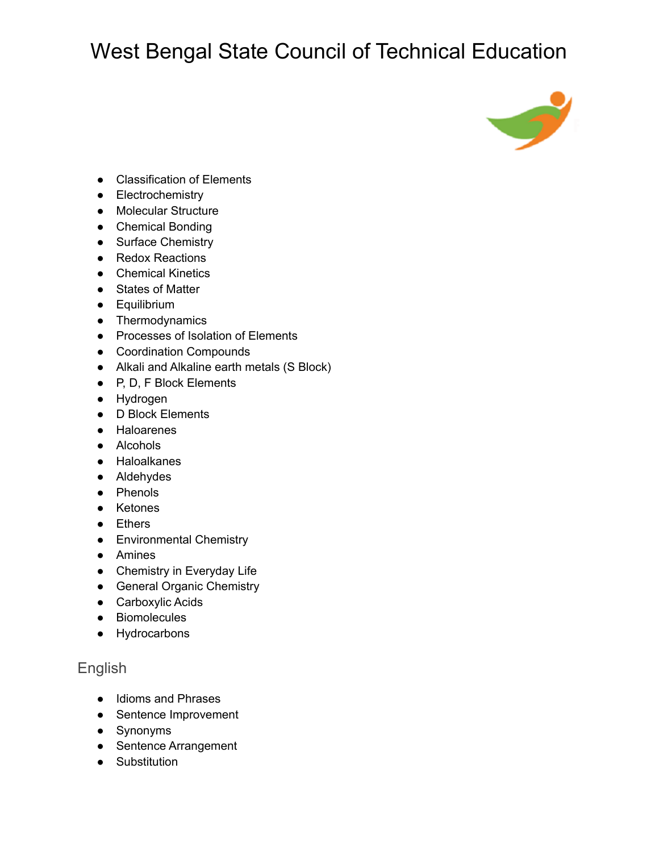

- Classification of Elements
- Electrochemistry
- Molecular Structure
- Chemical Bonding
- Surface Chemistry
- Redox Reactions
- Chemical Kinetics
- States of Matter
- Equilibrium
- Thermodynamics
- Processes of Isolation of Elements
- Coordination Compounds
- Alkali and Alkaline earth metals (S Block)
- P, D, F Block Elements
- Hydrogen
- D Block Elements
- Haloarenes
- Alcohols
- Haloalkanes
- Aldehydes
- Phenols
- Ketones
- Ethers
- Environmental Chemistry
- Amines
- Chemistry in Everyday Life
- General Organic Chemistry
- Carboxylic Acids
- Biomolecules
- Hydrocarbons

#### English

- Idioms and Phrases
- Sentence Improvement
- Synonyms
- Sentence Arrangement
- Substitution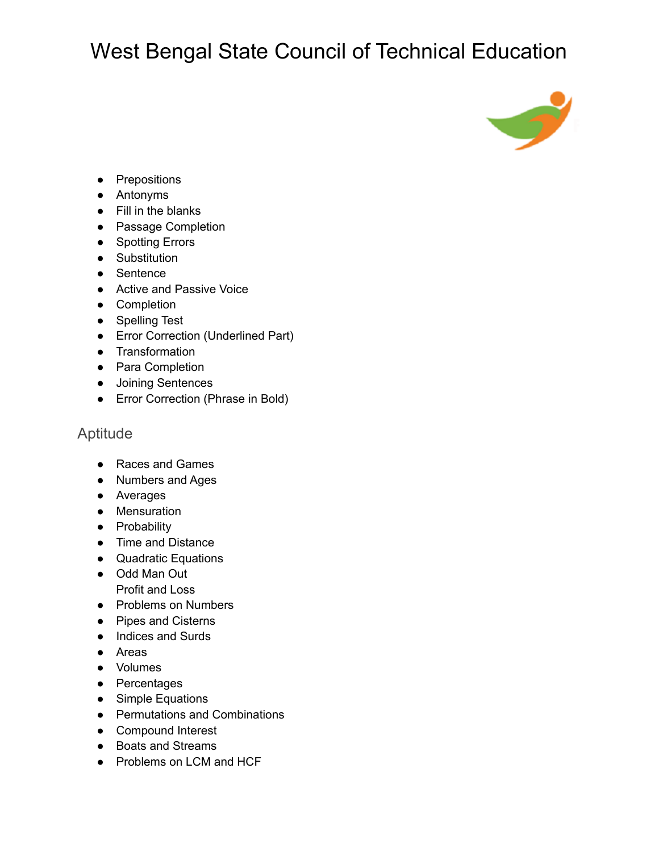

- Prepositions
- Antonyms
- Fill in the blanks
- Passage Completion
- Spotting Errors
- Substitution
- Sentence
- Active and Passive Voice
- Completion
- Spelling Test
- Error Correction (Underlined Part)
- Transformation
- Para Completion
- Joining Sentences
- Error Correction (Phrase in Bold)

#### Aptitude

- Races and Games
- Numbers and Ages
- Averages
- Mensuration
- Probability
- Time and Distance
- Quadratic Equations
- Odd Man Out Profit and Loss
- Problems on Numbers
- Pipes and Cisterns
- Indices and Surds
- Areas
- Volumes
- Percentages
- Simple Equations
- Permutations and Combinations
- Compound Interest
- Boats and Streams
- Problems on LCM and HCF